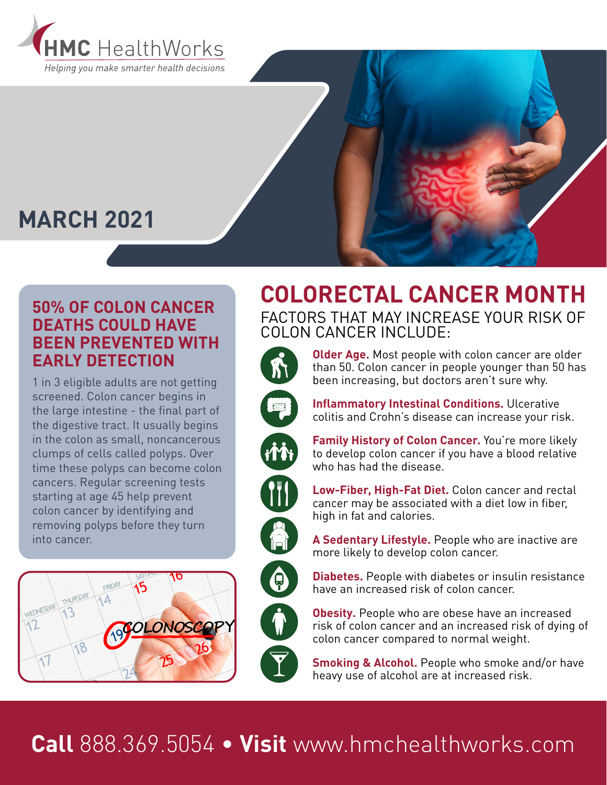

# **MARCH 2021**

### **50% OF COLON CANCER DEATHS COULD HAVE BEEN PREVENTED WITH EARLY DETECTION**

1 in 3 eligible adults are not getting screened. Colon cancer begins in the large intestine - the final part of the digestive tract. It usually begins in the colon as small, noncancerous clumps of cells called polyps. Over time these polyps can become colon cancers. Regular screening tests starting at age 45 help prevent colon cancer by identifying and removing polyps before they turn into cancer.







**Older Age.** Most people with colon cancer are older than 50. Colon cancer in people younger than 50 has been increasing, but doctors aren't sure why.



**Inflammatory Intestinal Conditions.** Ulcerative colitis and Crohn's disease can increase your risk.





 $\bigoplus$ 

to develop colon cancer if you have a blood relative who has had the disease.

**Family History of Colon Cancer.** You're more likely

**Low-Fiber, High-Fat Diet.** Colon cancer and rectal cancer may be associated with a diet low in fiber, high in fat and calories.

**A Sedentary Lifestyle.** People who are inactive are more likely to develop colon cancer.

**Diabetes.** People with diabetes or insulin resistance have an increased risk of colon cancer.

**Obesity.** People who are obese have an increased risk of colon cancer and an increased risk of dying of colon cancer compared to normal weight.

**Smoking & Alcohol.** People who smoke and/or have heavy use of alcohol are at increased risk.

# **Call** 888.369.5054 • **Visit** www.hmchealthworks.com